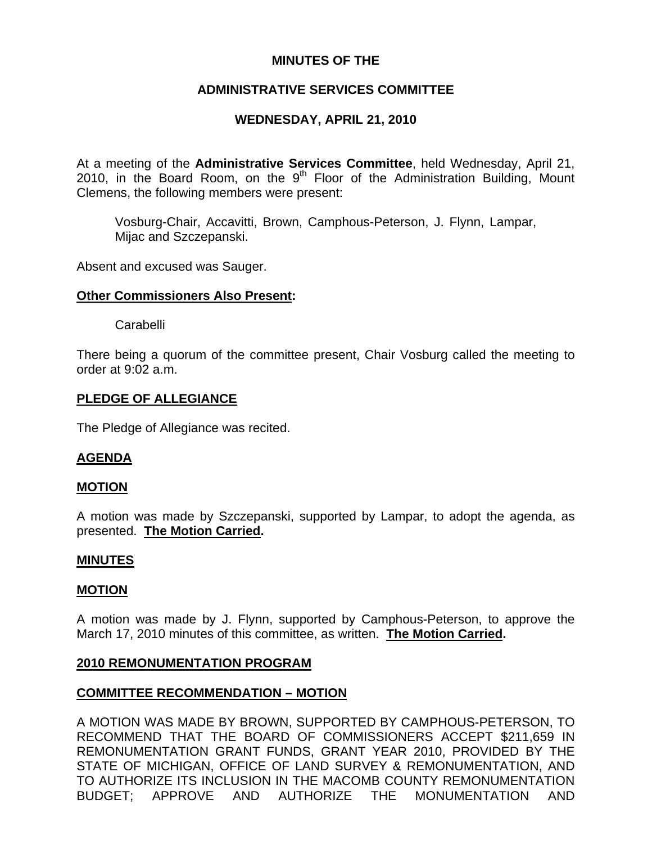## **MINUTES OF THE**

# **ADMINISTRATIVE SERVICES COMMITTEE**

# **WEDNESDAY, APRIL 21, 2010**

At a meeting of the **Administrative Services Committee**, held Wednesday, April 21, 2010, in the Board Room, on the  $9<sup>th</sup>$  Floor of the Administration Building, Mount Clemens, the following members were present:

Vosburg-Chair, Accavitti, Brown, Camphous-Peterson, J. Flynn, Lampar, Mijac and Szczepanski.

Absent and excused was Sauger.

#### **Other Commissioners Also Present:**

Carabelli

There being a quorum of the committee present, Chair Vosburg called the meeting to order at 9:02 a.m.

## **PLEDGE OF ALLEGIANCE**

The Pledge of Allegiance was recited.

## **AGENDA**

#### **MOTION**

A motion was made by Szczepanski, supported by Lampar, to adopt the agenda, as presented. **The Motion Carried.** 

#### **MINUTES**

#### **MOTION**

A motion was made by J. Flynn, supported by Camphous-Peterson, to approve the March 17, 2010 minutes of this committee, as written. **The Motion Carried.** 

#### **2010 REMONUMENTATION PROGRAM**

## **COMMITTEE RECOMMENDATION – MOTION**

A MOTION WAS MADE BY BROWN, SUPPORTED BY CAMPHOUS-PETERSON, TO RECOMMEND THAT THE BOARD OF COMMISSIONERS ACCEPT \$211,659 IN REMONUMENTATION GRANT FUNDS, GRANT YEAR 2010, PROVIDED BY THE STATE OF MICHIGAN, OFFICE OF LAND SURVEY & REMONUMENTATION, AND TO AUTHORIZE ITS INCLUSION IN THE MACOMB COUNTY REMONUMENTATION BUDGET; APPROVE AND AUTHORIZE THE MONUMENTATION AND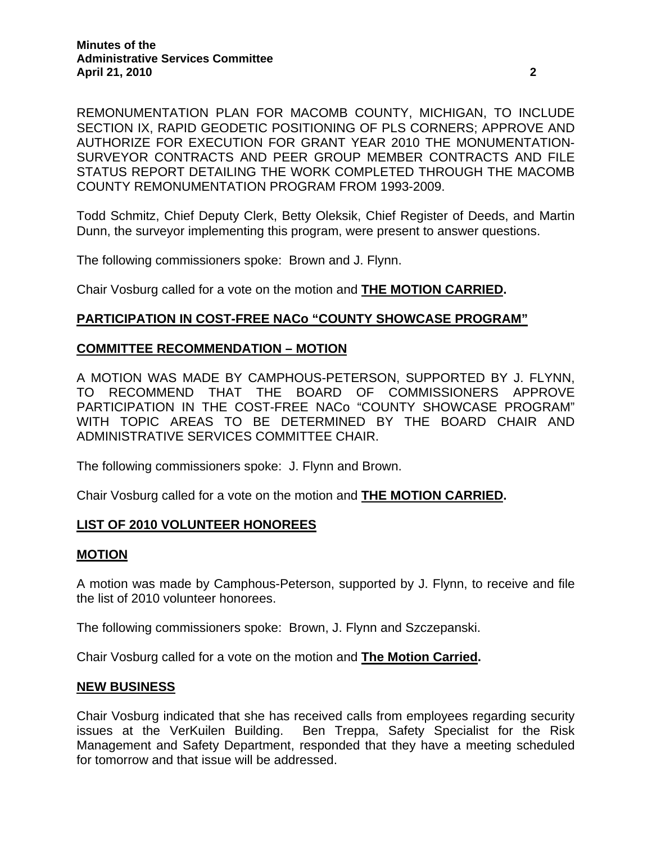REMONUMENTATION PLAN FOR MACOMB COUNTY, MICHIGAN, TO INCLUDE SECTION IX, RAPID GEODETIC POSITIONING OF PLS CORNERS; APPROVE AND AUTHORIZE FOR EXECUTION FOR GRANT YEAR 2010 THE MONUMENTATION-SURVEYOR CONTRACTS AND PEER GROUP MEMBER CONTRACTS AND FILE STATUS REPORT DETAILING THE WORK COMPLETED THROUGH THE MACOMB COUNTY REMONUMENTATION PROGRAM FROM 1993-2009.

Todd Schmitz, Chief Deputy Clerk, Betty Oleksik, Chief Register of Deeds, and Martin Dunn, the surveyor implementing this program, were present to answer questions.

The following commissioners spoke: Brown and J. Flynn.

Chair Vosburg called for a vote on the motion and **THE MOTION CARRIED.** 

#### **PARTICIPATION IN COST-FREE NACo "COUNTY SHOWCASE PROGRAM"**

#### **COMMITTEE RECOMMENDATION – MOTION**

A MOTION WAS MADE BY CAMPHOUS-PETERSON, SUPPORTED BY J. FLYNN, TO RECOMMEND THAT THE BOARD OF COMMISSIONERS APPROVE PARTICIPATION IN THE COST-FREE NACo "COUNTY SHOWCASE PROGRAM" WITH TOPIC AREAS TO BE DETERMINED BY THE BOARD CHAIR AND ADMINISTRATIVE SERVICES COMMITTEE CHAIR.

The following commissioners spoke: J. Flynn and Brown.

Chair Vosburg called for a vote on the motion and **THE MOTION CARRIED.** 

## **LIST OF 2010 VOLUNTEER HONOREES**

#### **MOTION**

A motion was made by Camphous-Peterson, supported by J. Flynn, to receive and file the list of 2010 volunteer honorees.

The following commissioners spoke: Brown, J. Flynn and Szczepanski.

Chair Vosburg called for a vote on the motion and **The Motion Carried.** 

#### **NEW BUSINESS**

Chair Vosburg indicated that she has received calls from employees regarding security issues at the VerKuilen Building. Ben Treppa, Safety Specialist for the Risk Management and Safety Department, responded that they have a meeting scheduled for tomorrow and that issue will be addressed.